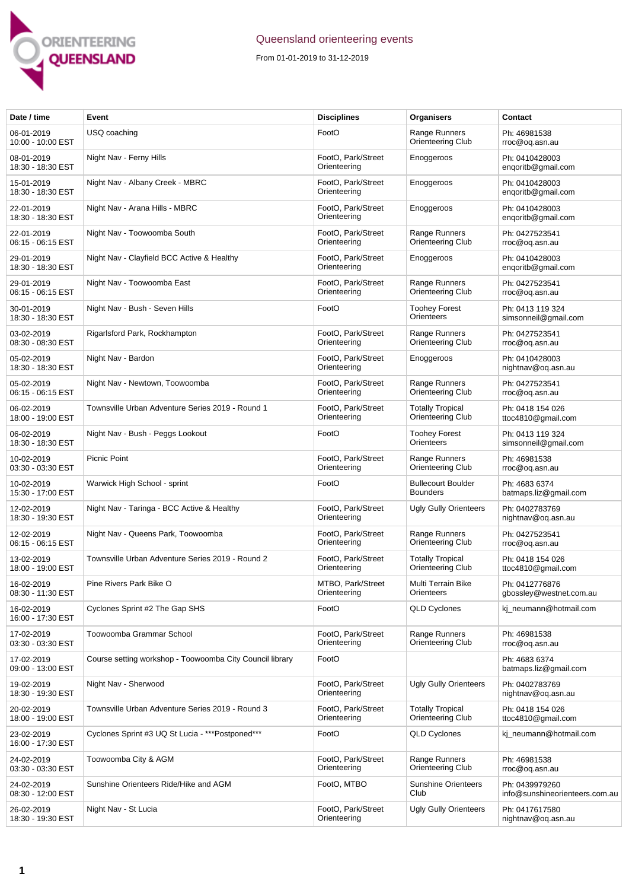

## Queensland orienteering events

From 01-01-2019 to 31-12-2019

| Date / time                     | Event                                                    | <b>Disciplines</b>                 | Organisers                                          | Contact                                          |
|---------------------------------|----------------------------------------------------------|------------------------------------|-----------------------------------------------------|--------------------------------------------------|
| 06-01-2019<br>10:00 - 10:00 EST | USQ coaching                                             | FootO                              | Range Runners<br><b>Orienteering Club</b>           | Ph: 46981538<br>rroc@oq.asn.au                   |
| 08-01-2019<br>18:30 - 18:30 EST | Night Nav - Ferny Hills                                  | FootO, Park/Street<br>Orienteering | Enoggeroos                                          | Ph: 0410428003<br>engoritb@gmail.com             |
| 15-01-2019<br>18:30 - 18:30 EST | Night Nav - Albany Creek - MBRC                          | FootO, Park/Street<br>Orienteering | Enoggeroos                                          | Ph: 0410428003<br>enqoritb@gmail.com             |
| 22-01-2019<br>18:30 - 18:30 EST | Night Nav - Arana Hills - MBRC                           | FootO, Park/Street<br>Orienteering | Enoggeroos                                          | Ph: 0410428003<br>engoritb@gmail.com             |
| 22-01-2019<br>06:15 - 06:15 EST | Night Nav - Toowoomba South                              | FootO, Park/Street<br>Orienteering | Range Runners<br>Orienteering Club                  | Ph: 0427523541<br>rroc@oq.asn.au                 |
| 29-01-2019<br>18:30 - 18:30 EST | Night Nav - Clayfield BCC Active & Healthy               | FootO, Park/Street<br>Orienteering | Enoggeroos                                          | Ph: 0410428003<br>enqoritb@gmail.com             |
| 29-01-2019<br>06:15 - 06:15 EST | Night Nav - Toowoomba East                               | FootO, Park/Street<br>Orienteering | Range Runners<br>Orienteering Club                  | Ph: 0427523541<br>rroc@oq.asn.au                 |
| 30-01-2019<br>18:30 - 18:30 EST | Night Nav - Bush - Seven Hills                           | FootO                              | <b>Toohey Forest</b><br>Orienteers                  | Ph: 0413 119 324<br>simsonneil@gmail.com         |
| 03-02-2019<br>08:30 - 08:30 EST | Rigarlsford Park, Rockhampton                            | FootO. Park/Street<br>Orienteering | Range Runners<br><b>Orienteering Club</b>           | Ph: 0427523541<br>rroc@oq.asn.au                 |
| 05-02-2019<br>18:30 - 18:30 EST | Night Nav - Bardon                                       | FootO, Park/Street<br>Orienteering | Enoggeroos                                          | Ph: 0410428003<br>nightnav@oq.asn.au             |
| 05-02-2019<br>06:15 - 06:15 EST | Night Nav - Newtown, Toowoomba                           | FootO, Park/Street<br>Orienteering | Range Runners<br><b>Orienteering Club</b>           | Ph: 0427523541<br>rroc@oq.asn.au                 |
| 06-02-2019<br>18:00 - 19:00 EST | Townsville Urban Adventure Series 2019 - Round 1         | FootO, Park/Street<br>Orienteering | <b>Totally Tropical</b><br><b>Orienteering Club</b> | Ph: 0418 154 026<br>ttoc4810@gmail.com           |
| 06-02-2019<br>18:30 - 18:30 EST | Night Nav - Bush - Peggs Lookout                         | FootO                              | <b>Toohey Forest</b><br>Orienteers                  | Ph: 0413 119 324<br>simsonneil@gmail.com         |
| 10-02-2019<br>03:30 - 03:30 EST | <b>Picnic Point</b>                                      | FootO, Park/Street<br>Orienteering | Range Runners<br>Orienteering Club                  | Ph: 46981538<br>rroc@oq.asn.au                   |
| 10-02-2019<br>15:30 - 17:00 EST | Warwick High School - sprint                             | FootO                              | <b>Bullecourt Boulder</b><br><b>Bounders</b>        | Ph: 4683 6374<br>batmaps.liz@gmail.com           |
| 12-02-2019<br>18:30 - 19:30 EST | Night Nav - Taringa - BCC Active & Healthy               | FootO, Park/Street<br>Orienteering | <b>Ugly Gully Orienteers</b>                        | Ph: 0402783769<br>nightnav@og.asn.au             |
| 12-02-2019<br>06:15 - 06:15 EST | Night Nav - Queens Park, Toowoomba                       | FootO, Park/Street<br>Orienteering | Range Runners<br><b>Orienteering Club</b>           | Ph: 0427523541<br>rroc@oq.asn.au                 |
| 13-02-2019<br>18:00 - 19:00 EST | Townsville Urban Adventure Series 2019 - Round 2         | FootO. Park/Street<br>Orienteering | <b>Totally Tropical</b><br>Orienteering Club        | Ph: 0418 154 026<br>ttoc4810@gmail.com           |
| 16-02-2019<br>08:30 - 11:30 EST | Pine Rivers Park Bike O                                  | MTBO, Park/Street<br>Orienteering  | Multi Terrain Bike<br>Orienteers                    | Ph: 0412776876<br>gbossley@westnet.com.au        |
| 16-02-2019<br>16:00 - 17:30 EST | Cyclones Sprint #2 The Gap SHS                           | FootO                              | <b>QLD Cyclones</b>                                 | ki neumann@hotmail.com                           |
| 17-02-2019<br>03:30 - 03:30 EST | Toowoomba Grammar School                                 | FootO, Park/Street<br>Orienteering | Range Runners<br>Orienteering Club                  | Ph: 46981538<br>rroc@og.asn.au                   |
| 17-02-2019<br>09:00 - 13:00 EST | Course setting workshop - Toowoomba City Council library | FootO                              |                                                     | Ph: 4683 6374<br>batmaps.liz@gmail.com           |
| 19-02-2019<br>18:30 - 19:30 EST | Night Nav - Sherwood                                     | FootO. Park/Street<br>Orienteering | <b>Ugly Gully Orienteers</b>                        | Ph: 0402783769<br>nightnav@oq.asn.au             |
| 20-02-2019<br>18:00 - 19:00 EST | Townsville Urban Adventure Series 2019 - Round 3         | FootO, Park/Street<br>Orienteering | <b>Totally Tropical</b><br>Orienteering Club        | Ph: 0418 154 026<br>ttoc4810@gmail.com           |
| 23-02-2019<br>16:00 - 17:30 EST | Cyclones Sprint #3 UQ St Lucia - ***Postponed***         | FootO                              | <b>QLD Cyclones</b>                                 | kj_neumann@hotmail.com                           |
| 24-02-2019<br>03:30 - 03:30 EST | Toowoomba City & AGM                                     | FootO, Park/Street<br>Orienteering | Range Runners<br>Orienteering Club                  | Ph: 46981538<br>rroc@oq.asn.au                   |
| 24-02-2019<br>08:30 - 12:00 EST | Sunshine Orienteers Ride/Hike and AGM                    | FootO, MTBO                        | <b>Sunshine Orienteers</b><br>Club                  | Ph: 0439979260<br>info@sunshineorienteers.com.au |
| 26-02-2019<br>18:30 - 19:30 EST | Night Nav - St Lucia                                     | FootO, Park/Street<br>Orienteering | <b>Ugly Gully Orienteers</b>                        | Ph: 0417617580<br>nightnav@oq.asn.au             |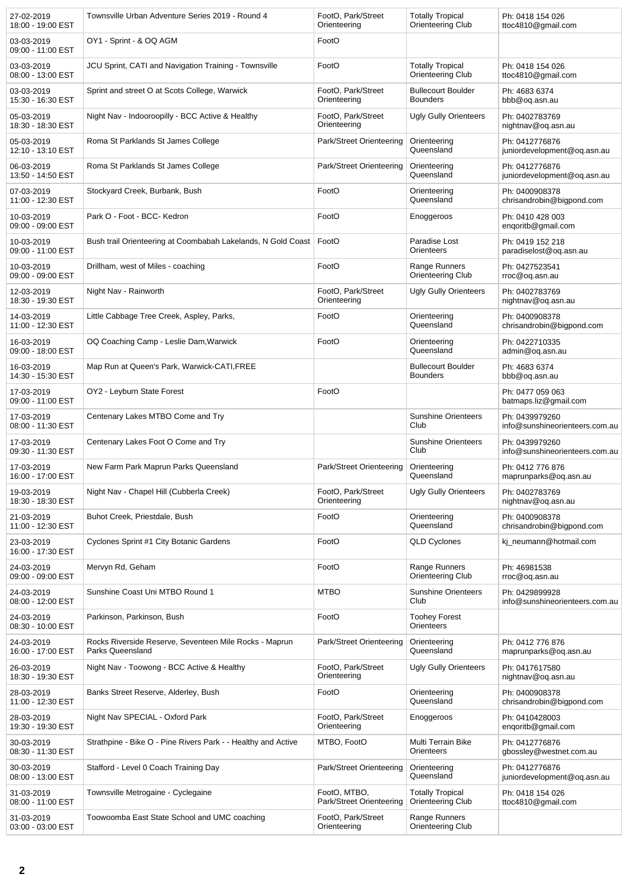| 27-02-2019<br>18:00 - 19:00 EST | Townsville Urban Adventure Series 2019 - Round 4                           | FootO, Park/Street<br>Orienteering       | <b>Totally Tropical</b><br>Orienteering Club        | Ph: 0418 154 026<br>ttoc4810@gmail.com           |
|---------------------------------|----------------------------------------------------------------------------|------------------------------------------|-----------------------------------------------------|--------------------------------------------------|
| 03-03-2019<br>09:00 - 11:00 EST | OY1 - Sprint - & OQ AGM                                                    | FootO                                    |                                                     |                                                  |
| 03-03-2019<br>08:00 - 13:00 EST | JCU Sprint, CATI and Navigation Training - Townsville                      | FootO                                    | <b>Totally Tropical</b><br>Orienteering Club        | Ph: 0418 154 026<br>ttoc4810@gmail.com           |
| 03-03-2019<br>15:30 - 16:30 EST | Sprint and street O at Scots College, Warwick                              | FootO, Park/Street<br>Orienteering       | <b>Bullecourt Boulder</b><br><b>Bounders</b>        | Ph: 4683 6374<br>bbb@oq.asn.au                   |
| 05-03-2019<br>18:30 - 18:30 EST | Night Nav - Indooroopilly - BCC Active & Healthy                           | FootO, Park/Street<br>Orienteering       | <b>Ugly Gully Orienteers</b>                        | Ph: 0402783769<br>nightnav@oq.asn.au             |
| 05-03-2019<br>12:10 - 13:10 EST | Roma St Parklands St James College                                         | Park/Street Orienteering                 | Orienteering<br>Queensland                          | Ph: 0412776876<br>juniordevelopment@oq.asn.au    |
| 06-03-2019<br>13:50 - 14:50 EST | Roma St Parklands St James College                                         | Park/Street Orienteering                 | Orienteering<br>Queensland                          | Ph: 0412776876<br>juniordevelopment@oq.asn.au    |
| 07-03-2019<br>11:00 - 12:30 EST | Stockyard Creek, Burbank, Bush                                             | FootO                                    | Orienteering<br>Queensland                          | Ph: 0400908378<br>chrisandrobin@bigpond.com      |
| 10-03-2019<br>09:00 - 09:00 EST | Park O - Foot - BCC- Kedron                                                | FootO                                    | Enoggeroos                                          | Ph: 0410 428 003<br>enqoritb@gmail.com           |
| 10-03-2019<br>09:00 - 11:00 EST | Bush trail Orienteering at Coombabah Lakelands, N Gold Coast               | FootO                                    | Paradise Lost<br>Orienteers                         | Ph: 0419 152 218<br>paradiselost@oq.asn.au       |
| 10-03-2019<br>09:00 - 09:00 EST | Drillham, west of Miles - coaching                                         | FootO                                    | Range Runners<br>Orienteering Club                  | Ph: 0427523541<br>rroc@oq.asn.au                 |
| 12-03-2019<br>18:30 - 19:30 EST | Night Nav - Rainworth                                                      | FootO, Park/Street<br>Orienteering       | <b>Ugly Gully Orienteers</b>                        | Ph: 0402783769<br>nightnav@oq.asn.au             |
| 14-03-2019<br>11:00 - 12:30 EST | Little Cabbage Tree Creek, Aspley, Parks,                                  | FootO                                    | Orienteering<br>Queensland                          | Ph: 0400908378<br>chrisandrobin@bigpond.com      |
| 16-03-2019<br>09:00 - 18:00 EST | OQ Coaching Camp - Leslie Dam, Warwick                                     | FootO                                    | Orienteering<br>Queensland                          | Ph: 0422710335<br>admin@oq.asn.au                |
| 16-03-2019<br>14:30 - 15:30 EST | Map Run at Queen's Park, Warwick-CATI, FREE                                |                                          | <b>Bullecourt Boulder</b><br><b>Bounders</b>        | Ph: 4683 6374<br>bbb@oq.asn.au                   |
| 17-03-2019<br>09:00 - 11:00 EST | OY2 - Leyburn State Forest                                                 | FootO                                    |                                                     | Ph: 0477 059 063<br>batmaps.liz@gmail.com        |
| 17-03-2019<br>08:00 - 11:30 EST | Centenary Lakes MTBO Come and Try                                          |                                          | <b>Sunshine Orienteers</b><br>Club                  | Ph: 0439979260<br>info@sunshineorienteers.com.au |
| 17-03-2019<br>09:30 - 11:30 EST | Centenary Lakes Foot O Come and Try                                        |                                          | <b>Sunshine Orienteers</b><br>Club                  | Ph: 0439979260<br>info@sunshineorienteers.com.au |
| 17-03-2019<br>16:00 - 17:00 EST | New Farm Park Maprun Parks Queensland                                      | Park/Street Orienteering                 | Orienteering<br>Queensland                          | Ph: 0412 776 876<br>maprunparks@oq.asn.au        |
| 19-03-2019<br>18:30 - 18:30 EST | Night Nav - Chapel Hill (Cubberla Creek)                                   | FootO, Park/Street<br>Orienteering       | <b>Ugly Gully Orienteers</b>                        | Ph: 0402783769<br>nightnav@oq.asn.au             |
| 21-03-2019<br>11:00 - 12:30 EST | Buhot Creek, Priestdale, Bush                                              | FootO                                    | Orienteering<br>Queensland                          | Ph: 0400908378<br>chrisandrobin@bigpond.com      |
| 23-03-2019<br>16:00 - 17:30 EST | Cyclones Sprint #1 City Botanic Gardens                                    | FootO                                    | <b>QLD Cyclones</b>                                 | kj neumann@hotmail.com                           |
| 24-03-2019<br>09:00 - 09:00 EST | Mervyn Rd, Geham                                                           | FootO                                    | Range Runners<br>Orienteering Club                  | Ph: 46981538<br>rroc@oq.asn.au                   |
| 24-03-2019<br>08:00 - 12:00 EST | Sunshine Coast Uni MTBO Round 1                                            | <b>MTBO</b>                              | <b>Sunshine Orienteers</b><br>Club                  | Ph: 0429899928<br>info@sunshineorienteers.com.au |
| 24-03-2019<br>08:30 - 10:00 EST | Parkinson, Parkinson, Bush                                                 | FootO                                    | <b>Toohey Forest</b><br>Orienteers                  |                                                  |
| 24-03-2019<br>16:00 - 17:00 EST | Rocks Riverside Reserve, Seventeen Mile Rocks - Maprun<br>Parks Queensland | Park/Street Orienteering                 | Orienteering<br>Queensland                          | Ph: 0412 776 876<br>maprunparks@oq.asn.au        |
| 26-03-2019<br>18:30 - 19:30 EST | Night Nav - Toowong - BCC Active & Healthy                                 | FootO, Park/Street<br>Orienteering       | <b>Ugly Gully Orienteers</b>                        | Ph: 0417617580<br>nightnav@oq.asn.au             |
| 28-03-2019<br>11:00 - 12:30 EST | Banks Street Reserve, Alderley, Bush                                       | FootO                                    | Orienteering<br>Queensland                          | Ph: 0400908378<br>chrisandrobin@bigpond.com      |
| 28-03-2019<br>19:30 - 19:30 EST | Night Nav SPECIAL - Oxford Park                                            | FootO, Park/Street<br>Orienteering       | Enoggeroos                                          | Ph: 0410428003<br>enqoritb@gmail.com             |
| 30-03-2019<br>08:30 - 11:30 EST | Strathpine - Bike O - Pine Rivers Park - - Healthy and Active              | MTBO, FootO                              | Multi Terrain Bike<br>Orienteers                    | Ph: 0412776876<br>gbossley@westnet.com.au        |
| 30-03-2019<br>08:00 - 13:00 EST | Stafford - Level 0 Coach Training Day                                      | Park/Street Orienteering                 | Orienteering<br>Queensland                          | Ph: 0412776876<br>juniordevelopment@oq.asn.au    |
| 31-03-2019<br>08:00 - 11:00 EST | Townsville Metrogaine - Cyclegaine                                         | FootO, MTBO,<br>Park/Street Orienteering | <b>Totally Tropical</b><br><b>Orienteering Club</b> | Ph: 0418 154 026<br>ttoc4810@gmail.com           |
| 31-03-2019<br>03:00 - 03:00 EST | Toowoomba East State School and UMC coaching                               | FootO, Park/Street<br>Orienteering       | Range Runners<br>Orienteering Club                  |                                                  |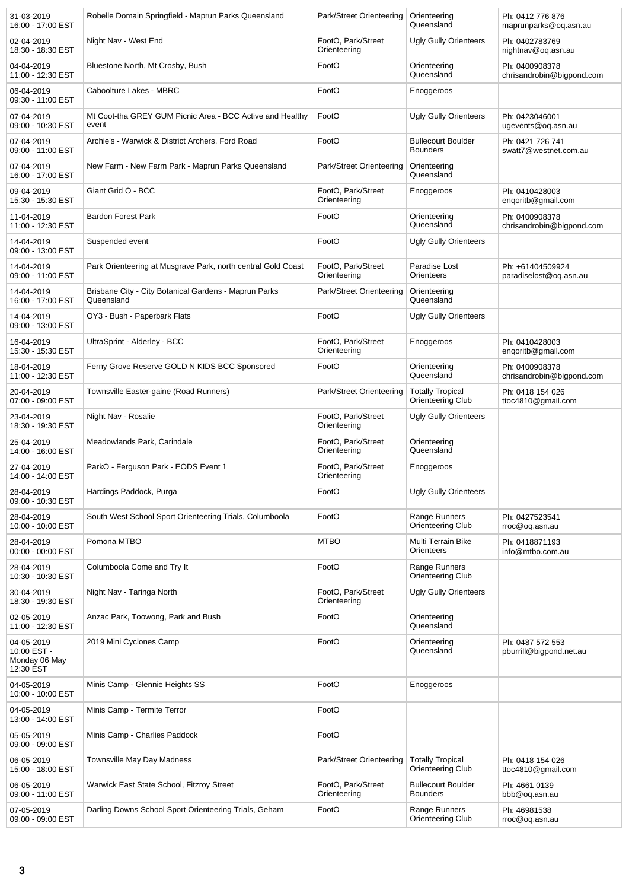| 31-03-2019<br>16:00 - 17:00 EST                         | Robelle Domain Springfield - Maprun Parks Queensland                | Park/Street Orienteering           | Orienteering<br>Queensland                   | Ph: 0412 776 876<br>maprunparks@oq.asn.au   |
|---------------------------------------------------------|---------------------------------------------------------------------|------------------------------------|----------------------------------------------|---------------------------------------------|
| 02-04-2019<br>18:30 - 18:30 EST                         | Night Nav - West End                                                | FootO, Park/Street<br>Orienteering | <b>Ugly Gully Orienteers</b>                 | Ph: 0402783769<br>nightnav@og.asn.au        |
| 04-04-2019<br>11:00 - 12:30 EST                         | Bluestone North, Mt Crosby, Bush                                    | FootO                              | Orienteering<br>Queensland                   | Ph: 0400908378<br>chrisandrobin@bigpond.com |
| 06-04-2019<br>09:30 - 11:00 EST                         | Caboolture Lakes - MBRC                                             | FootO                              | Enoggeroos                                   |                                             |
| 07-04-2019<br>09:00 - 10:30 EST                         | Mt Coot-tha GREY GUM Picnic Area - BCC Active and Healthy<br>event  | FootO                              | Ugly Gully Orienteers                        | Ph: 0423046001<br>ugevents@oq.asn.au        |
| 07-04-2019<br>09:00 - 11:00 EST                         | Archie's - Warwick & District Archers, Ford Road                    | FootO                              | <b>Bullecourt Boulder</b><br><b>Bounders</b> | Ph: 0421 726 741<br>swatt7@westnet.com.au   |
| 07-04-2019<br>16:00 - 17:00 EST                         | New Farm - New Farm Park - Maprun Parks Queensland                  | Park/Street Orienteering           | Orienteering<br>Queensland                   |                                             |
| 09-04-2019<br>15:30 - 15:30 EST                         | Giant Grid O - BCC                                                  | FootO, Park/Street<br>Orienteering | Enoggeroos                                   | Ph: 0410428003<br>enqoritb@gmail.com        |
| 11-04-2019<br>11:00 - 12:30 EST                         | <b>Bardon Forest Park</b>                                           | FootO                              | Orienteering<br>Queensland                   | Ph: 0400908378<br>chrisandrobin@bigpond.com |
| 14-04-2019<br>09:00 - 13:00 EST                         | Suspended event                                                     | FootO                              | <b>Ugly Gully Orienteers</b>                 |                                             |
| 14-04-2019<br>09:00 - 11:00 EST                         | Park Orienteering at Musgrave Park, north central Gold Coast        | FootO, Park/Street<br>Orienteering | Paradise Lost<br>Orienteers                  | Ph: +61404509924<br>paradiselost@oq.asn.au  |
| 14-04-2019<br>16:00 - 17:00 EST                         | Brisbane City - City Botanical Gardens - Maprun Parks<br>Queensland | Park/Street Orienteering           | Orienteering<br>Queensland                   |                                             |
| 14-04-2019<br>09:00 - 13:00 EST                         | OY3 - Bush - Paperbark Flats                                        | FootO                              | <b>Ugly Gully Orienteers</b>                 |                                             |
| 16-04-2019<br>15:30 - 15:30 EST                         | UltraSprint - Alderley - BCC                                        | FootO, Park/Street<br>Orienteering | Enoggeroos                                   | Ph: 0410428003<br>engoritb@gmail.com        |
| 18-04-2019<br>11:00 - 12:30 EST                         | Ferny Grove Reserve GOLD N KIDS BCC Sponsored                       | FootO                              | Orienteering<br>Queensland                   | Ph: 0400908378<br>chrisandrobin@bigpond.com |
| 20-04-2019<br>07:00 - 09:00 EST                         | Townsville Easter-gaine (Road Runners)                              | Park/Street Orienteering           | <b>Totally Tropical</b><br>Orienteering Club | Ph: 0418 154 026<br>ttoc4810@gmail.com      |
| 23-04-2019<br>18:30 - 19:30 EST                         | Night Nav - Rosalie                                                 | FootO, Park/Street<br>Orienteering | <b>Ugly Gully Orienteers</b>                 |                                             |
| 25-04-2019<br>14:00 - 16:00 EST                         | Meadowlands Park, Carindale                                         | FootO, Park/Street<br>Orienteering | Orienteering<br>Queensland                   |                                             |
| 27-04-2019<br>14:00 - 14:00 EST                         | ParkO - Ferguson Park - EODS Event 1                                | FootO, Park/Street<br>Orienteering | Enoggeroos                                   |                                             |
| 28-04-2019<br>09:00 - 10:30 EST                         | Hardings Paddock, Purga                                             | FootO                              | <b>Ugly Gully Orienteers</b>                 |                                             |
| 28-04-2019<br>10:00 - 10:00 EST                         | South West School Sport Orienteering Trials, Columboola             | FootO                              | Range Runners<br>Orienteering Club           | Ph: 0427523541<br>rroc@oq.asn.au            |
| 28-04-2019<br>00:00 - 00:00 EST                         | Pomona MTBO                                                         | <b>MTBO</b>                        | Multi Terrain Bike<br>Orienteers             | Ph: 0418871193<br>info@mtbo.com.au          |
| 28-04-2019<br>10:30 - 10:30 EST                         | Columboola Come and Try It                                          | FootO                              | Range Runners<br>Orienteering Club           |                                             |
| 30-04-2019<br>18:30 - 19:30 EST                         | Night Nav - Taringa North                                           | FootO, Park/Street<br>Orienteering | <b>Ugly Gully Orienteers</b>                 |                                             |
| 02-05-2019<br>11:00 - 12:30 EST                         | Anzac Park, Toowong, Park and Bush                                  | FootO                              | Orienteering<br>Queensland                   |                                             |
| 04-05-2019<br>10:00 EST -<br>Monday 06 May<br>12:30 EST | 2019 Mini Cyclones Camp                                             | FootO                              | Orienteering<br>Queensland                   | Ph: 0487 572 553<br>pburrill@bigpond.net.au |
| 04-05-2019<br>10:00 - 10:00 EST                         | Minis Camp - Glennie Heights SS                                     | FootO                              | Enoggeroos                                   |                                             |
| 04-05-2019<br>13:00 - 14:00 EST                         | Minis Camp - Termite Terror                                         | FootO                              |                                              |                                             |
| 05-05-2019<br>09:00 - 09:00 EST                         | Minis Camp - Charlies Paddock                                       | FootO                              |                                              |                                             |
| 06-05-2019<br>15:00 - 18:00 EST                         | Townsville May Day Madness                                          | Park/Street Orienteering           | <b>Totally Tropical</b><br>Orienteering Club | Ph: 0418 154 026<br>ttoc4810@gmail.com      |
| 06-05-2019<br>09:00 - 11:00 EST                         | Warwick East State School, Fitzroy Street                           | FootO, Park/Street<br>Orienteering | <b>Bullecourt Boulder</b><br><b>Bounders</b> | Ph: 4661 0139<br>bbb@oq.asn.au              |
| 07-05-2019<br>09:00 - 09:00 EST                         | Darling Downs School Sport Orienteering Trials, Geham               | FootO                              | Range Runners<br>Orienteering Club           | Ph: 46981538<br>rroc@oq.asn.au              |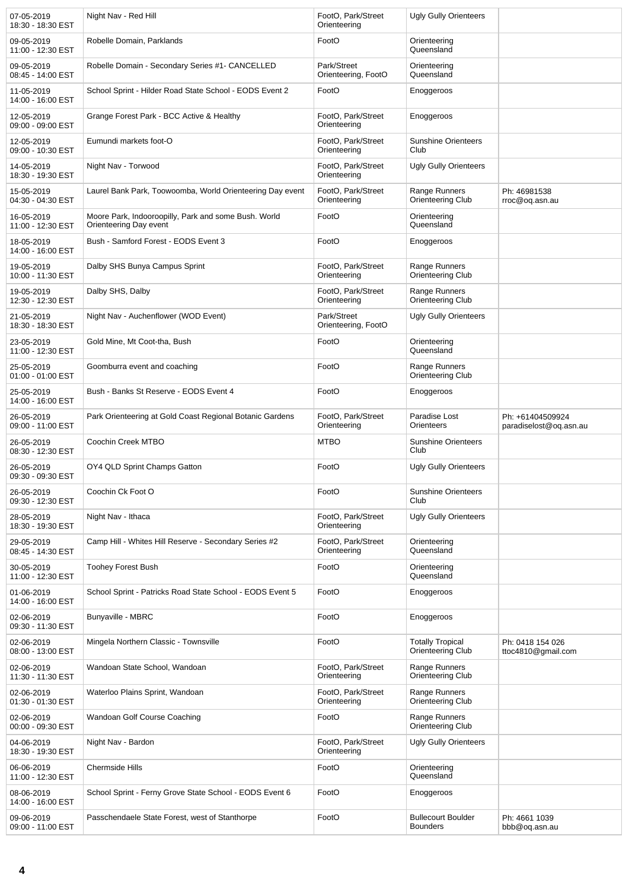| 07-05-2019<br>18:30 - 18:30 EST | Night Nav - Red Hill                                                           | FootO, Park/Street<br>Orienteering | <b>Ugly Gully Orienteers</b>                 |                                            |
|---------------------------------|--------------------------------------------------------------------------------|------------------------------------|----------------------------------------------|--------------------------------------------|
| 09-05-2019<br>11:00 - 12:30 EST | Robelle Domain, Parklands                                                      | FootO                              | Orienteering<br>Queensland                   |                                            |
| 09-05-2019<br>08:45 - 14:00 EST | Robelle Domain - Secondary Series #1- CANCELLED                                | Park/Street<br>Orienteering, FootO | Orienteering<br>Queensland                   |                                            |
| 11-05-2019<br>14:00 - 16:00 EST | School Sprint - Hilder Road State School - EODS Event 2                        | FootO                              | Enoggeroos                                   |                                            |
| 12-05-2019<br>09:00 - 09:00 EST | Grange Forest Park - BCC Active & Healthy                                      | FootO, Park/Street<br>Orienteering | Enoggeroos                                   |                                            |
| 12-05-2019<br>09:00 - 10:30 EST | Eumundi markets foot-O                                                         | FootO, Park/Street<br>Orienteering | <b>Sunshine Orienteers</b><br>Club           |                                            |
| 14-05-2019<br>18:30 - 19:30 EST | Night Nav - Torwood                                                            | FootO, Park/Street<br>Orienteering | <b>Ugly Gully Orienteers</b>                 |                                            |
| 15-05-2019<br>04:30 - 04:30 EST | Laurel Bank Park, Toowoomba, World Orienteering Day event                      | FootO, Park/Street<br>Orienteering | Range Runners<br>Orienteering Club           | Ph: 46981538<br>rroc@oq.asn.au             |
| 16-05-2019<br>11:00 - 12:30 EST | Moore Park, Indooroopilly, Park and some Bush. World<br>Orienteering Day event | FootO                              | Orienteering<br>Queensland                   |                                            |
| 18-05-2019<br>14:00 - 16:00 EST | Bush - Samford Forest - EODS Event 3                                           | FootO                              | Enoggeroos                                   |                                            |
| 19-05-2019<br>10:00 - 11:30 EST | Dalby SHS Bunya Campus Sprint                                                  | FootO. Park/Street<br>Orienteering | Range Runners<br>Orienteering Club           |                                            |
| 19-05-2019<br>12:30 - 12:30 EST | Dalby SHS, Dalby                                                               | FootO, Park/Street<br>Orienteering | Range Runners<br>Orienteering Club           |                                            |
| 21-05-2019<br>18:30 - 18:30 EST | Night Nav - Auchenflower (WOD Event)                                           | Park/Street<br>Orienteering, FootO | <b>Ugly Gully Orienteers</b>                 |                                            |
| 23-05-2019<br>11:00 - 12:30 EST | Gold Mine, Mt Coot-tha, Bush                                                   | FootO                              | Orienteering<br>Queensland                   |                                            |
| 25-05-2019<br>01:00 - 01:00 EST | Goomburra event and coaching                                                   | FootO                              | Range Runners<br>Orienteering Club           |                                            |
| 25-05-2019<br>14:00 - 16:00 EST | Bush - Banks St Reserve - EODS Event 4                                         | FootO                              | Enoggeroos                                   |                                            |
| 26-05-2019<br>09:00 - 11:00 EST | Park Orienteering at Gold Coast Regional Botanic Gardens                       | FootO, Park/Street<br>Orienteering | Paradise Lost<br>Orienteers                  | Ph: +61404509924<br>paradiselost@oq.asn.au |
| 26-05-2019<br>08:30 - 12:30 EST | Coochin Creek MTBO                                                             | <b>MTBO</b>                        | <b>Sunshine Orienteers</b><br>Club           |                                            |
| 26-05-2019<br>09:30 - 09:30 EST | OY4 QLD Sprint Champs Gatton                                                   | FootO                              | <b>Ugly Gully Orienteers</b>                 |                                            |
| 26-05-2019<br>09:30 - 12:30 EST | Coochin Ck Foot O                                                              | FootO                              | <b>Sunshine Orienteers</b><br>Club           |                                            |
| 28-05-2019<br>18:30 - 19:30 EST | Night Nav - Ithaca                                                             | FootO, Park/Street<br>Orienteering | <b>Ugly Gully Orienteers</b>                 |                                            |
| 29-05-2019<br>08:45 - 14:30 EST | Camp Hill - Whites Hill Reserve - Secondary Series #2                          | FootO, Park/Street<br>Orienteering | Orienteering<br>Queensland                   |                                            |
| 30-05-2019<br>11:00 - 12:30 EST | <b>Toohey Forest Bush</b>                                                      | FootO                              | Orienteering<br>Queensland                   |                                            |
| 01-06-2019<br>14:00 - 16:00 EST | School Sprint - Patricks Road State School - EODS Event 5                      | FootO                              | Enoggeroos                                   |                                            |
| 02-06-2019<br>09:30 - 11:30 EST | <b>Bunyaville - MBRC</b>                                                       | FootO                              | Enoggeroos                                   |                                            |
| 02-06-2019<br>08:00 - 13:00 EST | Mingela Northern Classic - Townsville                                          | FootO                              | <b>Totally Tropical</b><br>Orienteering Club | Ph: 0418 154 026<br>ttoc4810@gmail.com     |
| 02-06-2019<br>11:30 - 11:30 EST | Wandoan State School, Wandoan                                                  | FootO, Park/Street<br>Orienteering | Range Runners<br>Orienteering Club           |                                            |
| 02-06-2019<br>01:30 - 01:30 EST | Waterloo Plains Sprint, Wandoan                                                | FootO, Park/Street<br>Orienteering | Range Runners<br>Orienteering Club           |                                            |
| 02-06-2019<br>00:00 - 09:30 EST | Wandoan Golf Course Coaching                                                   | FootO                              | Range Runners<br>Orienteering Club           |                                            |
| 04-06-2019<br>18:30 - 19:30 EST | Night Nav - Bardon                                                             | FootO, Park/Street<br>Orienteering | <b>Ugly Gully Orienteers</b>                 |                                            |
| 06-06-2019<br>11:00 - 12:30 EST | <b>Chermside Hills</b>                                                         | FootO                              | Orienteering<br>Queensland                   |                                            |
| 08-06-2019<br>14:00 - 16:00 EST | School Sprint - Ferny Grove State School - EODS Event 6                        | FootO                              | Enoggeroos                                   |                                            |
| 09-06-2019<br>09:00 - 11:00 EST | Passchendaele State Forest, west of Stanthorpe                                 | FootO                              | <b>Bullecourt Boulder</b><br><b>Bounders</b> | Ph: 4661 1039<br>bbb@oq.asn.au             |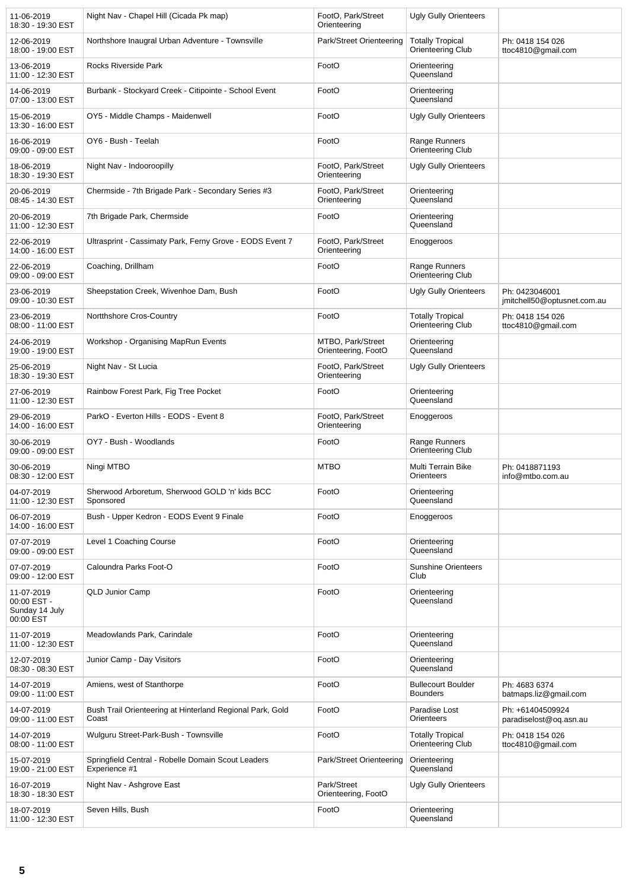| 11-06-2019<br>18:30 - 19:30 EST                          | Night Nav - Chapel Hill (Cicada Pk map)                             | FootO, Park/Street<br>Orienteering       | <b>Ugly Gully Orienteers</b>                 |                                               |
|----------------------------------------------------------|---------------------------------------------------------------------|------------------------------------------|----------------------------------------------|-----------------------------------------------|
| 12-06-2019<br>18:00 - 19:00 EST                          | Northshore Inaugral Urban Adventure - Townsville                    | Park/Street Orienteering                 | <b>Totally Tropical</b><br>Orienteering Club | Ph: 0418 154 026<br>ttoc4810@gmail.com        |
| 13-06-2019<br>11:00 - 12:30 EST                          | <b>Rocks Riverside Park</b>                                         | FootO                                    | Orienteering<br>Queensland                   |                                               |
| 14-06-2019<br>07:00 - 13:00 EST                          | Burbank - Stockyard Creek - Citipointe - School Event               | FootO                                    | Orienteering<br>Queensland                   |                                               |
| 15-06-2019<br>13:30 - 16:00 EST                          | OY5 - Middle Champs - Maidenwell                                    | FootO                                    | <b>Ugly Gully Orienteers</b>                 |                                               |
| 16-06-2019<br>09:00 - 09:00 EST                          | OY6 - Bush - Teelah                                                 | FootO                                    | Range Runners<br>Orienteering Club           |                                               |
| 18-06-2019<br>18:30 - 19:30 EST                          | Night Nav - Indooroopilly                                           | FootO, Park/Street<br>Orienteering       | <b>Ugly Gully Orienteers</b>                 |                                               |
| 20-06-2019<br>08:45 - 14:30 EST                          | Chermside - 7th Brigade Park - Secondary Series #3                  | FootO, Park/Street<br>Orienteering       | Orienteering<br>Queensland                   |                                               |
| 20-06-2019<br>11:00 - 12:30 EST                          | 7th Brigade Park, Chermside                                         | FootO                                    | Orienteering<br>Queensland                   |                                               |
| 22-06-2019<br>14:00 - 16:00 EST                          | Ultrasprint - Cassimaty Park, Ferny Grove - EODS Event 7            | FootO, Park/Street<br>Orienteering       | Enoggeroos                                   |                                               |
| 22-06-2019<br>09:00 - 09:00 EST                          | Coaching, Drillham                                                  | FootO                                    | Range Runners<br>Orienteering Club           |                                               |
| 23-06-2019<br>09:00 - 10:30 EST                          | Sheepstation Creek, Wivenhoe Dam, Bush                              | FootO                                    | <b>Ugly Gully Orienteers</b>                 | Ph: 0423046001<br>jmitchell50@optusnet.com.au |
| 23-06-2019<br>08:00 - 11:00 EST                          | Nortthshore Cros-Country                                            | FootO                                    | <b>Totally Tropical</b><br>Orienteering Club | Ph: 0418 154 026<br>ttoc4810@gmail.com        |
| 24-06-2019<br>19:00 - 19:00 EST                          | Workshop - Organising MapRun Events                                 | MTBO, Park/Street<br>Orienteering, FootO | Orienteering<br>Queensland                   |                                               |
| 25-06-2019<br>18:30 - 19:30 EST                          | Night Nav - St Lucia                                                | FootO, Park/Street<br>Orienteering       | <b>Ugly Gully Orienteers</b>                 |                                               |
| 27-06-2019<br>11:00 - 12:30 EST                          | Rainbow Forest Park, Fig Tree Pocket                                | FootO                                    | Orienteering<br>Queensland                   |                                               |
| 29-06-2019<br>14:00 - 16:00 EST                          | ParkO - Everton Hills - EODS - Event 8                              | FootO, Park/Street<br>Orienteering       | Enoggeroos                                   |                                               |
| 30-06-2019<br>09:00 - 09:00 EST                          | OY7 - Bush - Woodlands                                              | FootO                                    | Range Runners<br>Orienteering Club           |                                               |
| 30-06-2019<br>08:30 - 12:00 EST                          | Ningi MTBO                                                          | <b>MTBO</b>                              | Multi Terrain Bike<br>Orienteers             | Ph: 0418871193<br>info@mtbo.com.au            |
| 04-07-2019<br>11:00 - 12:30 EST                          | Sherwood Arboretum, Sherwood GOLD 'n' kids BCC<br>Sponsored         | FootO                                    | Orienteering<br>Queensland                   |                                               |
| 06-07-2019<br>14:00 - 16:00 EST                          | Bush - Upper Kedron - EODS Event 9 Finale                           | FootO                                    | Enoggeroos                                   |                                               |
| 07-07-2019<br>09:00 - 09:00 EST                          | Level 1 Coaching Course                                             | FootO                                    | Orienteering<br>Queensland                   |                                               |
| 07-07-2019<br>09:00 - 12:00 EST                          | Caloundra Parks Foot-O                                              | FootO                                    | <b>Sunshine Orienteers</b><br>Club           |                                               |
| 11-07-2019<br>00:00 EST -<br>Sunday 14 July<br>00:00 EST | <b>QLD Junior Camp</b>                                              | FootO                                    | Orienteering<br>Queensland                   |                                               |
| 11-07-2019<br>11:00 - 12:30 EST                          | Meadowlands Park, Carindale                                         | FootO                                    | Orienteering<br>Queensland                   |                                               |
| 12-07-2019<br>08:30 - 08:30 EST                          | Junior Camp - Day Visitors                                          | FootO                                    | Orienteering<br>Queensland                   |                                               |
| 14-07-2019<br>09:00 - 11:00 EST                          | Amiens, west of Stanthorpe                                          | FootO                                    | <b>Bullecourt Boulder</b><br><b>Bounders</b> | Ph: 4683 6374<br>batmaps.liz@gmail.com        |
| 14-07-2019<br>09:00 - 11:00 EST                          | Bush Trail Orienteering at Hinterland Regional Park, Gold<br>Coast  | FootO                                    | Paradise Lost<br>Orienteers                  | Ph: +61404509924<br>paradiselost@oq.asn.au    |
| 14-07-2019<br>08:00 - 11:00 EST                          | Wulguru Street-Park-Bush - Townsville                               | FootO                                    | <b>Totally Tropical</b><br>Orienteering Club | Ph: 0418 154 026<br>ttoc4810@gmail.com        |
| 15-07-2019<br>19:00 - 21:00 EST                          | Springfield Central - Robelle Domain Scout Leaders<br>Experience #1 | Park/Street Orienteering                 | Orienteering<br>Queensland                   |                                               |
| 16-07-2019<br>18:30 - 18:30 EST                          | Night Nav - Ashgrove East                                           | Park/Street<br>Orienteering, FootO       | <b>Ugly Gully Orienteers</b>                 |                                               |
| 18-07-2019<br>11:00 - 12:30 EST                          | Seven Hills, Bush                                                   | FootO                                    | Orienteering<br>Queensland                   |                                               |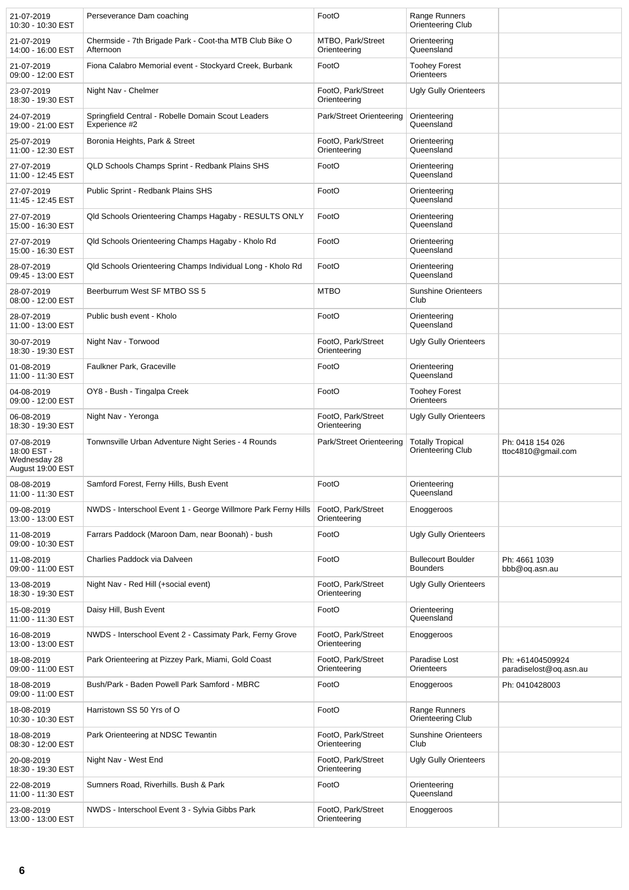| 21-07-2019<br>10:30 - 10:30 EST                               | Perseverance Dam coaching                                            | FootO                              | Range Runners<br>Orienteering Club           |                                            |
|---------------------------------------------------------------|----------------------------------------------------------------------|------------------------------------|----------------------------------------------|--------------------------------------------|
| 21-07-2019<br>14:00 - 16:00 EST                               | Chermside - 7th Brigade Park - Coot-tha MTB Club Bike O<br>Afternoon | MTBO, Park/Street<br>Orienteering  | Orienteering<br>Queensland                   |                                            |
| 21-07-2019<br>09:00 - 12:00 EST                               | Fiona Calabro Memorial event - Stockyard Creek, Burbank              | FootO                              | <b>Toohey Forest</b><br>Orienteers           |                                            |
| 23-07-2019<br>18:30 - 19:30 EST                               | Night Nav - Chelmer                                                  | FootO, Park/Street<br>Orienteering | <b>Ugly Gully Orienteers</b>                 |                                            |
| 24-07-2019<br>19:00 - 21:00 EST                               | Springfield Central - Robelle Domain Scout Leaders<br>Experience #2  | Park/Street Orienteering           | Orienteering<br>Queensland                   |                                            |
| 25-07-2019<br>11:00 - 12:30 EST                               | Boronia Heights, Park & Street                                       | FootO, Park/Street<br>Orienteering | Orienteering<br>Queensland                   |                                            |
| 27-07-2019<br>11:00 - 12:45 EST                               | QLD Schools Champs Sprint - Redbank Plains SHS                       | FootO                              | Orienteering<br>Queensland                   |                                            |
| 27-07-2019<br>11:45 - 12:45 EST                               | Public Sprint - Redbank Plains SHS                                   | FootO                              | Orienteering<br>Queensland                   |                                            |
| 27-07-2019<br>15:00 - 16:30 EST                               | Qld Schools Orienteering Champs Hagaby - RESULTS ONLY                | FootO                              | Orienteering<br>Queensland                   |                                            |
| 27-07-2019<br>15:00 - 16:30 EST                               | Qld Schools Orienteering Champs Hagaby - Kholo Rd                    | FootO                              | Orienteering<br>Queensland                   |                                            |
| 28-07-2019<br>09:45 - 13:00 EST                               | Qld Schools Orienteering Champs Individual Long - Kholo Rd           | FootO                              | Orienteering<br>Queensland                   |                                            |
| 28-07-2019<br>08:00 - 12:00 EST                               | Beerburrum West SF MTBO SS 5                                         | <b>MTBO</b>                        | <b>Sunshine Orienteers</b><br>Club           |                                            |
| 28-07-2019<br>11:00 - 13:00 EST                               | Public bush event - Kholo                                            | FootO                              | Orienteering<br>Queensland                   |                                            |
| 30-07-2019<br>18:30 - 19:30 EST                               | Night Nav - Torwood                                                  | FootO, Park/Street<br>Orienteering | <b>Ugly Gully Orienteers</b>                 |                                            |
| 01-08-2019<br>11:00 - 11:30 EST                               | Faulkner Park, Graceville                                            | FootO                              | Orienteering<br>Queensland                   |                                            |
| 04-08-2019<br>09:00 - 12:00 EST                               | OY8 - Bush - Tingalpa Creek                                          | FootO                              | <b>Toohey Forest</b><br>Orienteers           |                                            |
| 06-08-2019<br>18:30 - 19:30 EST                               | Night Nav - Yeronga                                                  | FootO, Park/Street<br>Orienteering | <b>Ugly Gully Orienteers</b>                 |                                            |
| 07-08-2019<br>18:00 EST -<br>Wednesday 28<br>August 19:00 EST | Tonwnsville Urban Adventure Night Series - 4 Rounds                  | Park/Street Orienteering           | <b>Totally Tropical</b><br>Orienteering Club | Ph: 0418 154 026<br>ttoc4810@gmail.com     |
| 08-08-2019<br>11:00 - 11:30 EST                               | Samford Forest, Ferny Hills, Bush Event                              | FootO                              | Orienteering<br>Queensland                   |                                            |
| 09-08-2019<br>13:00 - 13:00 EST                               | NWDS - Interschool Event 1 - George Willmore Park Ferny Hills        | FootO, Park/Street<br>Orienteering | Enoggeroos                                   |                                            |
| 11-08-2019<br>09:00 - 10:30 EST                               | Farrars Paddock (Maroon Dam, near Boonah) - bush                     | FootO                              | <b>Ugly Gully Orienteers</b>                 |                                            |
| 11-08-2019<br>09:00 - 11:00 EST                               | Charlies Paddock via Dalveen                                         | FootO                              | <b>Bullecourt Boulder</b><br><b>Bounders</b> | Ph: 4661 1039<br>bbb@oq.asn.au             |
| 13-08-2019<br>18:30 - 19:30 EST                               | Night Nav - Red Hill (+social event)                                 | FootO, Park/Street<br>Orienteering | <b>Ugly Gully Orienteers</b>                 |                                            |
| 15-08-2019<br>11:00 - 11:30 EST                               | Daisy Hill, Bush Event                                               | FootO                              | Orienteering<br>Queensland                   |                                            |
| 16-08-2019<br>13:00 - 13:00 EST                               | NWDS - Interschool Event 2 - Cassimaty Park, Ferny Grove             | FootO, Park/Street<br>Orienteering | Enoggeroos                                   |                                            |
| 18-08-2019<br>09:00 - 11:00 EST                               | Park Orienteering at Pizzey Park, Miami, Gold Coast                  | FootO, Park/Street<br>Orienteering | Paradise Lost<br>Orienteers                  | Ph: +61404509924<br>paradiselost@oq.asn.au |
| 18-08-2019<br>09:00 - 11:00 EST                               | Bush/Park - Baden Powell Park Samford - MBRC                         | FootO                              | Enoggeroos                                   | Ph: 0410428003                             |
| 18-08-2019<br>10:30 - 10:30 EST                               | Harristown SS 50 Yrs of O                                            | FootO                              | Range Runners<br>Orienteering Club           |                                            |
| 18-08-2019<br>08:30 - 12:00 EST                               | Park Orienteering at NDSC Tewantin                                   | FootO, Park/Street<br>Orienteering | <b>Sunshine Orienteers</b><br>Club           |                                            |
| 20-08-2019<br>18:30 - 19:30 EST                               | Night Nav - West End                                                 | FootO, Park/Street<br>Orienteering | <b>Ugly Gully Orienteers</b>                 |                                            |
| 22-08-2019<br>11:00 - 11:30 EST                               | Sumners Road, Riverhills. Bush & Park                                | FootO                              | Orienteering<br>Queensland                   |                                            |
| 23-08-2019<br>13:00 - 13:00 EST                               | NWDS - Interschool Event 3 - Sylvia Gibbs Park                       | FootO, Park/Street<br>Orienteering | Enoggeroos                                   |                                            |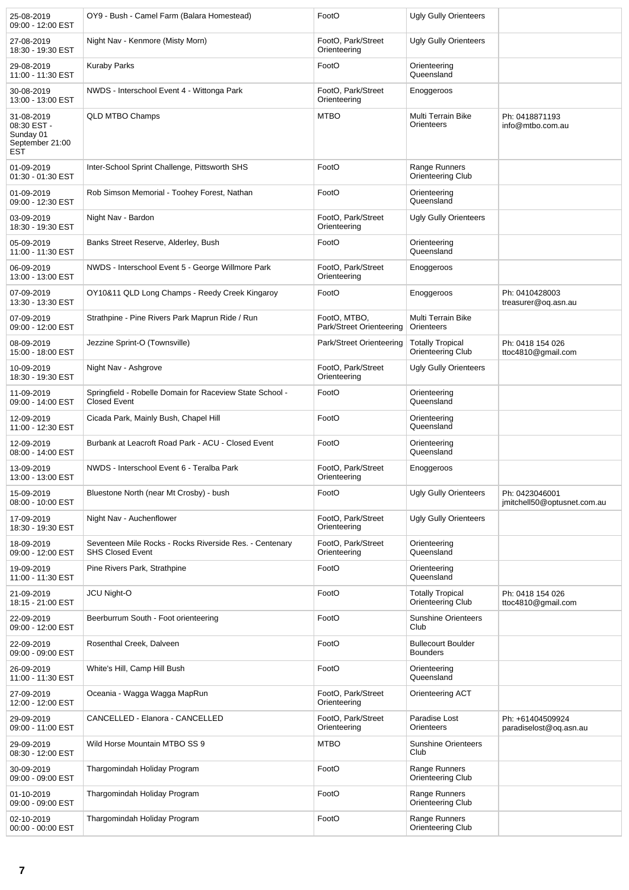| 25-08-2019<br>09:00 - 12:00 EST                                         | OY9 - Bush - Camel Farm (Balara Homestead)                                         | FootO                                    | <b>Ugly Gully Orienteers</b>                 |                                               |
|-------------------------------------------------------------------------|------------------------------------------------------------------------------------|------------------------------------------|----------------------------------------------|-----------------------------------------------|
| 27-08-2019<br>18:30 - 19:30 EST                                         | Night Nav - Kenmore (Misty Morn)                                                   | FootO, Park/Street<br>Orienteering       | <b>Ugly Gully Orienteers</b>                 |                                               |
| 29-08-2019<br>11:00 - 11:30 EST                                         | <b>Kuraby Parks</b>                                                                | FootO                                    | Orienteering<br>Queensland                   |                                               |
| 30-08-2019<br>13:00 - 13:00 EST                                         | NWDS - Interschool Event 4 - Wittonga Park                                         | FootO, Park/Street<br>Orienteering       | Enoggeroos                                   |                                               |
| 31-08-2019<br>08:30 EST -<br>Sunday 01<br>September 21:00<br><b>EST</b> | <b>QLD MTBO Champs</b>                                                             | <b>MTBO</b>                              | Multi Terrain Bike<br>Orienteers             | Ph: 0418871193<br>info@mtbo.com.au            |
| 01-09-2019<br>01:30 - 01:30 EST                                         | Inter-School Sprint Challenge, Pittsworth SHS                                      | FootO                                    | Range Runners<br>Orienteering Club           |                                               |
| 01-09-2019<br>09:00 - 12:30 EST                                         | Rob Simson Memorial - Toohey Forest, Nathan                                        | FootO                                    | Orienteering<br>Queensland                   |                                               |
| 03-09-2019<br>18:30 - 19:30 EST                                         | Night Nav - Bardon                                                                 | FootO, Park/Street<br>Orienteering       | <b>Ugly Gully Orienteers</b>                 |                                               |
| 05-09-2019<br>11:00 - 11:30 EST                                         | Banks Street Reserve, Alderley, Bush                                               | FootO                                    | Orienteering<br>Queensland                   |                                               |
| 06-09-2019<br>13:00 - 13:00 EST                                         | NWDS - Interschool Event 5 - George Willmore Park                                  | FootO, Park/Street<br>Orienteering       | Enoggeroos                                   |                                               |
| 07-09-2019<br>13:30 - 13:30 EST                                         | OY10&11 QLD Long Champs - Reedy Creek Kingaroy                                     | FootO                                    | Enoggeroos                                   | Ph: 0410428003<br>treasurer@oq.asn.au         |
| 07-09-2019<br>09:00 - 12:00 EST                                         | Strathpine - Pine Rivers Park Maprun Ride / Run                                    | FootO, MTBO,<br>Park/Street Orienteering | Multi Terrain Bike<br>Orienteers             |                                               |
| 08-09-2019<br>15:00 - 18:00 EST                                         | Jezzine Sprint-O (Townsville)                                                      | Park/Street Orienteering                 | <b>Totally Tropical</b><br>Orienteering Club | Ph: 0418 154 026<br>ttoc4810@gmail.com        |
| 10-09-2019<br>18:30 - 19:30 EST                                         | Night Nav - Ashgrove                                                               | FootO, Park/Street<br>Orienteering       | <b>Ugly Gully Orienteers</b>                 |                                               |
| 11-09-2019<br>09:00 - 14:00 EST                                         | Springfield - Robelle Domain for Raceview State School -<br><b>Closed Event</b>    | FootO                                    | Orienteering<br>Queensland                   |                                               |
| 12-09-2019<br>11:00 - 12:30 EST                                         | Cicada Park, Mainly Bush, Chapel Hill                                              | FootO                                    | Orienteering<br>Queensland                   |                                               |
| 12-09-2019<br>08:00 - 14:00 EST                                         | Burbank at Leacroft Road Park - ACU - Closed Event                                 | FootO                                    | Orienteering<br>Queensland                   |                                               |
| 13-09-2019<br>13:00 - 13:00 EST                                         | NWDS - Interschool Event 6 - Teralba Park                                          | FootO, Park/Street<br>Orienteering       | Enoggeroos                                   |                                               |
| 15-09-2019<br>08:00 - 10:00 EST                                         | Bluestone North (near Mt Crosby) - bush                                            | FootO                                    | <b>Ugly Gully Orienteers</b>                 | Ph: 0423046001<br>jmitchell50@optusnet.com.au |
| 17-09-2019<br>18:30 - 19:30 EST                                         | Night Nav - Auchenflower                                                           | FootO, Park/Street<br>Orienteering       | <b>Ugly Gully Orienteers</b>                 |                                               |
| 18-09-2019<br>09:00 - 12:00 EST                                         | Seventeen Mile Rocks - Rocks Riverside Res. - Centenary<br><b>SHS Closed Event</b> | FootO, Park/Street<br>Orienteering       | Orienteering<br>Queensland                   |                                               |
| 19-09-2019<br>11:00 - 11:30 EST                                         | Pine Rivers Park, Strathpine                                                       | FootO                                    | Orienteering<br>Queensland                   |                                               |
| 21-09-2019<br>18:15 - 21:00 EST                                         | JCU Night-O                                                                        | FootO                                    | <b>Totally Tropical</b><br>Orienteering Club | Ph: 0418 154 026<br>ttoc4810@gmail.com        |
| 22-09-2019<br>09:00 - 12:00 EST                                         | Beerburrum South - Foot orienteering                                               | FootO                                    | <b>Sunshine Orienteers</b><br>Club           |                                               |
| 22-09-2019<br>09:00 - 09:00 EST                                         | Rosenthal Creek, Dalveen                                                           | FootO                                    | <b>Bullecourt Boulder</b><br><b>Bounders</b> |                                               |
| 26-09-2019<br>11:00 - 11:30 EST                                         | White's Hill, Camp Hill Bush                                                       | FootO                                    | Orienteering<br>Queensland                   |                                               |
| 27-09-2019<br>12:00 - 12:00 EST                                         | Oceania - Wagga Wagga MapRun                                                       | FootO, Park/Street<br>Orienteering       | Orienteering ACT                             |                                               |
| 29-09-2019<br>09:00 - 11:00 EST                                         | CANCELLED - Elanora - CANCELLED                                                    | FootO, Park/Street<br>Orienteering       | Paradise Lost<br>Orienteers                  | Ph: +61404509924<br>paradiselost@oq.asn.au    |
| 29-09-2019<br>08:30 - 12:00 EST                                         | Wild Horse Mountain MTBO SS 9                                                      | <b>MTBO</b>                              | <b>Sunshine Orienteers</b><br>Club           |                                               |
| 30-09-2019<br>09:00 - 09:00 EST                                         | Thargomindah Holiday Program                                                       | FootO                                    | Range Runners<br>Orienteering Club           |                                               |
| 01-10-2019<br>09:00 - 09:00 EST                                         | Thargomindah Holiday Program                                                       | FootO                                    | Range Runners<br>Orienteering Club           |                                               |
| 02-10-2019<br>00:00 - 00:00 EST                                         | Thargomindah Holiday Program                                                       | FootO                                    | Range Runners<br>Orienteering Club           |                                               |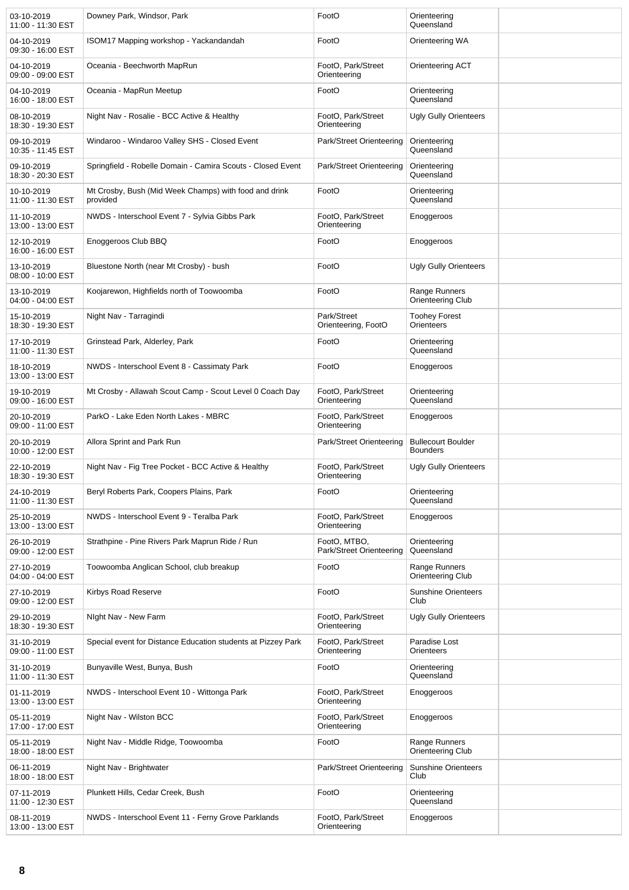| 03-10-2019<br>11:00 - 11:30 EST | Downey Park, Windsor, Park                                        | FootO                                    | Orienteering<br>Queensland                   |  |
|---------------------------------|-------------------------------------------------------------------|------------------------------------------|----------------------------------------------|--|
| 04-10-2019<br>09:30 - 16:00 EST | ISOM17 Mapping workshop - Yackandandah                            | FootO                                    | Orienteering WA                              |  |
| 04-10-2019<br>09:00 - 09:00 EST | Oceania - Beechworth MapRun                                       | FootO, Park/Street<br>Orienteering       | Orienteering ACT                             |  |
| 04-10-2019<br>16:00 - 18:00 EST | Oceania - MapRun Meetup                                           | FootO                                    | Orienteering<br>Queensland                   |  |
| 08-10-2019<br>18:30 - 19:30 EST | Night Nav - Rosalie - BCC Active & Healthy                        | FootO, Park/Street<br>Orienteering       | <b>Ugly Gully Orienteers</b>                 |  |
| 09-10-2019<br>10:35 - 11:45 EST | Windaroo - Windaroo Valley SHS - Closed Event                     | Park/Street Orienteering                 | Orienteering<br>Queensland                   |  |
| 09-10-2019<br>18:30 - 20:30 EST | Springfield - Robelle Domain - Camira Scouts - Closed Event       | Park/Street Orienteering                 | Orienteering<br>Queensland                   |  |
| 10-10-2019<br>11:00 - 11:30 EST | Mt Crosby, Bush (Mid Week Champs) with food and drink<br>provided | FootO                                    | Orienteering<br>Queensland                   |  |
| 11-10-2019<br>13:00 - 13:00 EST | NWDS - Interschool Event 7 - Sylvia Gibbs Park                    | FootO, Park/Street<br>Orienteering       | Enoggeroos                                   |  |
| 12-10-2019<br>16:00 - 16:00 EST | Enoggeroos Club BBQ                                               | FootO                                    | Enoggeroos                                   |  |
| 13-10-2019<br>08:00 - 10:00 EST | Bluestone North (near Mt Crosby) - bush                           | FootO                                    | <b>Ugly Gully Orienteers</b>                 |  |
| 13-10-2019<br>04:00 - 04:00 EST | Koojarewon, Highfields north of Toowoomba                         | FootO                                    | Range Runners<br>Orienteering Club           |  |
| 15-10-2019<br>18:30 - 19:30 EST | Night Nav - Tarragindi                                            | Park/Street<br>Orienteering, FootO       | <b>Toohey Forest</b><br>Orienteers           |  |
| 17-10-2019<br>11:00 - 11:30 EST | Grinstead Park, Alderley, Park                                    | FootO                                    | Orienteering<br>Queensland                   |  |
| 18-10-2019<br>13:00 - 13:00 EST | NWDS - Interschool Event 8 - Cassimaty Park                       | FootO                                    | Enoggeroos                                   |  |
| 19-10-2019<br>09:00 - 16:00 EST | Mt Crosby - Allawah Scout Camp - Scout Level 0 Coach Day          | FootO, Park/Street<br>Orienteering       | Orienteering<br>Queensland                   |  |
| 20-10-2019<br>09:00 - 11:00 EST | ParkO - Lake Eden North Lakes - MBRC                              | FootO, Park/Street<br>Orienteering       | Enoggeroos                                   |  |
| 20-10-2019<br>10:00 - 12:00 EST | Allora Sprint and Park Run                                        | Park/Street Orienteering                 | <b>Bullecourt Boulder</b><br><b>Bounders</b> |  |
| 22-10-2019<br>18:30 - 19:30 EST | Night Nav - Fig Tree Pocket - BCC Active & Healthy                | FootO, Park/Street<br>Orienteering       | <b>Ugly Gully Orienteers</b>                 |  |
| 24-10-2019<br>11:00 - 11:30 EST | Beryl Roberts Park, Coopers Plains, Park                          | FootO                                    | Orienteering<br>Queensland                   |  |
| 25-10-2019<br>13:00 - 13:00 EST | NWDS - Interschool Event 9 - Teralba Park                         | FootO, Park/Street<br>Orienteering       | Enoggeroos                                   |  |
| 26-10-2019<br>09:00 - 12:00 EST | Strathpine - Pine Rivers Park Maprun Ride / Run                   | FootO, MTBO,<br>Park/Street Orienteering | Orienteering<br>Queensland                   |  |
| 27-10-2019<br>04:00 - 04:00 EST | Toowoomba Anglican School, club breakup                           | FootO                                    | Range Runners<br>Orienteering Club           |  |
| 27-10-2019<br>09:00 - 12:00 EST | Kirbys Road Reserve                                               | FootO                                    | <b>Sunshine Orienteers</b><br>Club           |  |
| 29-10-2019<br>18:30 - 19:30 EST | Night Nav - New Farm                                              | FootO, Park/Street<br>Orienteering       | Ugly Gully Orienteers                        |  |
| 31-10-2019<br>09:00 - 11:00 EST | Special event for Distance Education students at Pizzey Park      | FootO, Park/Street<br>Orienteering       | Paradise Lost<br>Orienteers                  |  |
| 31-10-2019<br>11:00 - 11:30 EST | Bunyaville West, Bunya, Bush                                      | FootO                                    | Orienteering<br>Queensland                   |  |
| 01-11-2019<br>13:00 - 13:00 EST | NWDS - Interschool Event 10 - Wittonga Park                       | FootO, Park/Street<br>Orienteering       | Enoggeroos                                   |  |
| 05-11-2019<br>17:00 - 17:00 EST | Night Nav - Wilston BCC                                           | FootO, Park/Street<br>Orienteering       | Enoggeroos                                   |  |
| 05-11-2019<br>18:00 - 18:00 EST | Night Nav - Middle Ridge, Toowoomba                               | FootO                                    | Range Runners<br>Orienteering Club           |  |
| 06-11-2019<br>18:00 - 18:00 EST | Night Nav - Brightwater                                           | Park/Street Orienteering                 | <b>Sunshine Orienteers</b><br>Club           |  |
| 07-11-2019<br>11:00 - 12:30 EST | Plunkett Hills, Cedar Creek, Bush                                 | FootO                                    | Orienteering<br>Queensland                   |  |
| 08-11-2019<br>13:00 - 13:00 EST | NWDS - Interschool Event 11 - Ferny Grove Parklands               | FootO, Park/Street<br>Orienteering       | Enoggeroos                                   |  |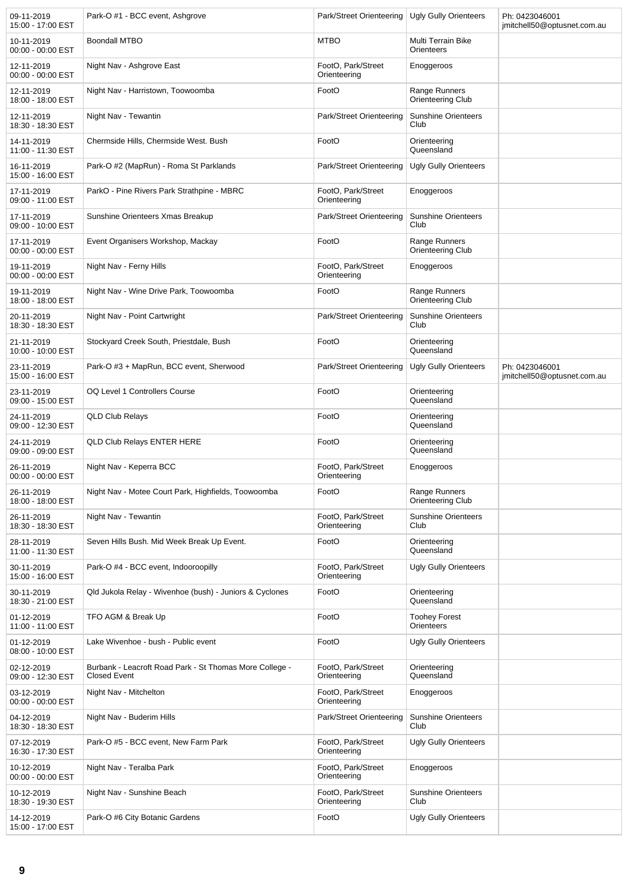| 09-11-2019<br>15:00 - 17:00 EST | Park-O #1 - BCC event, Ashgrove                                                | Park/Street Orienteering   Ugly Gully Orienteers |                                           | Ph: 0423046001<br>jmitchell50@optusnet.com.au |
|---------------------------------|--------------------------------------------------------------------------------|--------------------------------------------------|-------------------------------------------|-----------------------------------------------|
| 10-11-2019<br>00:00 - 00:00 EST | <b>Boondall MTBO</b>                                                           | <b>MTBO</b>                                      | Multi Terrain Bike<br>Orienteers          |                                               |
| 12-11-2019<br>00:00 - 00:00 EST | Night Nav - Ashgrove East                                                      | FootO, Park/Street<br>Orienteering               | Enoggeroos                                |                                               |
| 12-11-2019<br>18:00 - 18:00 EST | Night Nav - Harristown, Toowoomba                                              | FootO                                            | Range Runners<br>Orienteering Club        |                                               |
| 12-11-2019<br>18:30 - 18:30 EST | Night Nav - Tewantin                                                           | Park/Street Orienteering                         | <b>Sunshine Orienteers</b><br>Club        |                                               |
| 14-11-2019<br>11:00 - 11:30 EST | Chermside Hills, Chermside West. Bush                                          | FootO                                            | Orienteering<br>Queensland                |                                               |
| 16-11-2019<br>15:00 - 16:00 EST | Park-O #2 (MapRun) - Roma St Parklands                                         | Park/Street Orienteering                         | Ugly Gully Orienteers                     |                                               |
| 17-11-2019<br>09:00 - 11:00 EST | ParkO - Pine Rivers Park Strathpine - MBRC                                     | FootO, Park/Street<br>Orienteering               | Enoggeroos                                |                                               |
| 17-11-2019<br>09:00 - 10:00 EST | Sunshine Orienteers Xmas Breakup                                               | Park/Street Orienteering                         | <b>Sunshine Orienteers</b><br>Club        |                                               |
| 17-11-2019<br>00:00 - 00:00 EST | Event Organisers Workshop, Mackay                                              | FootO                                            | Range Runners<br><b>Orienteering Club</b> |                                               |
| 19-11-2019<br>00:00 - 00:00 EST | Night Nav - Ferny Hills                                                        | FootO, Park/Street<br>Orienteering               | Enoggeroos                                |                                               |
| 19-11-2019<br>18:00 - 18:00 EST | Night Nav - Wine Drive Park, Toowoomba                                         | FootO                                            | Range Runners<br>Orienteering Club        |                                               |
| 20-11-2019<br>18:30 - 18:30 EST | Night Nav - Point Cartwright                                                   | Park/Street Orienteering                         | <b>Sunshine Orienteers</b><br>Club        |                                               |
| 21-11-2019<br>10:00 - 10:00 EST | Stockyard Creek South, Priestdale, Bush                                        | FootO                                            | Orienteering<br>Queensland                |                                               |
| 23-11-2019<br>15:00 - 16:00 EST | Park-O #3 + MapRun, BCC event, Sherwood                                        | Park/Street Orienteering                         | <b>Ugly Gully Orienteers</b>              | Ph: 0423046001<br>jmitchell50@optusnet.com.au |
| 23-11-2019<br>09:00 - 15:00 EST | OQ Level 1 Controllers Course                                                  | FootO                                            | Orienteering<br>Queensland                |                                               |
| 24-11-2019<br>09:00 - 12:30 EST | <b>QLD Club Relays</b>                                                         | FootO                                            | Orienteering<br>Queensland                |                                               |
| 24-11-2019<br>09:00 - 09:00 EST | QLD Club Relays ENTER HERE                                                     | FootO                                            | Orienteering<br>Queensland                |                                               |
| 26-11-2019<br>00:00 - 00:00 EST | Night Nav - Keperra BCC                                                        | FootO, Park/Street<br>Orienteering               | Enoggeroos                                |                                               |
| 26-11-2019<br>18:00 - 18:00 EST | Night Nav - Motee Court Park, Highfields, Toowoomba                            | FootO                                            | Range Runners<br><b>Orienteering Club</b> |                                               |
| 26-11-2019<br>18:30 - 18:30 EST | Night Nav - Tewantin                                                           | FootO, Park/Street<br>Orienteering               | <b>Sunshine Orienteers</b><br>Club        |                                               |
| 28-11-2019<br>11:00 - 11:30 EST | Seven Hills Bush. Mid Week Break Up Event.                                     | FootO                                            | Orienteering<br>Queensland                |                                               |
| 30-11-2019<br>15:00 - 16:00 EST | Park-O #4 - BCC event, Indooroopilly                                           | FootO. Park/Street<br>Orienteering               | Ugly Gully Orienteers                     |                                               |
| 30-11-2019<br>18:30 - 21:00 EST | Qld Jukola Relay - Wivenhoe (bush) - Juniors & Cyclones                        | FootO                                            | Orienteering<br>Queensland                |                                               |
| 01-12-2019<br>11:00 - 11:00 EST | TFO AGM & Break Up                                                             | FootO                                            | <b>Toohey Forest</b><br>Orienteers        |                                               |
| 01-12-2019<br>08:00 - 10:00 EST | Lake Wivenhoe - bush - Public event                                            | FootO                                            | <b>Ugly Gully Orienteers</b>              |                                               |
| 02-12-2019<br>09:00 - 12:30 EST | Burbank - Leacroft Road Park - St Thomas More College -<br><b>Closed Event</b> | FootO, Park/Street<br>Orienteering               | Orienteering<br>Queensland                |                                               |
| 03-12-2019<br>00:00 - 00:00 EST | Night Nav - Mitchelton                                                         | FootO, Park/Street<br>Orienteering               | Enoggeroos                                |                                               |
| 04-12-2019<br>18:30 - 18:30 EST | Night Nav - Buderim Hills                                                      | Park/Street Orienteering                         | <b>Sunshine Orienteers</b><br>Club        |                                               |
| 07-12-2019<br>16:30 - 17:30 EST | Park-O #5 - BCC event, New Farm Park                                           | FootO, Park/Street<br>Orienteering               | <b>Ugly Gully Orienteers</b>              |                                               |
| 10-12-2019<br>00:00 - 00:00 EST | Night Nav - Teralba Park                                                       | FootO, Park/Street<br>Orienteering               | Enoggeroos                                |                                               |
| 10-12-2019<br>18:30 - 19:30 EST | Night Nav - Sunshine Beach                                                     | FootO, Park/Street<br>Orienteering               | <b>Sunshine Orienteers</b><br>Club        |                                               |
| 14-12-2019<br>15:00 - 17:00 EST | Park-O #6 City Botanic Gardens                                                 | FootO                                            | <b>Ugly Gully Orienteers</b>              |                                               |